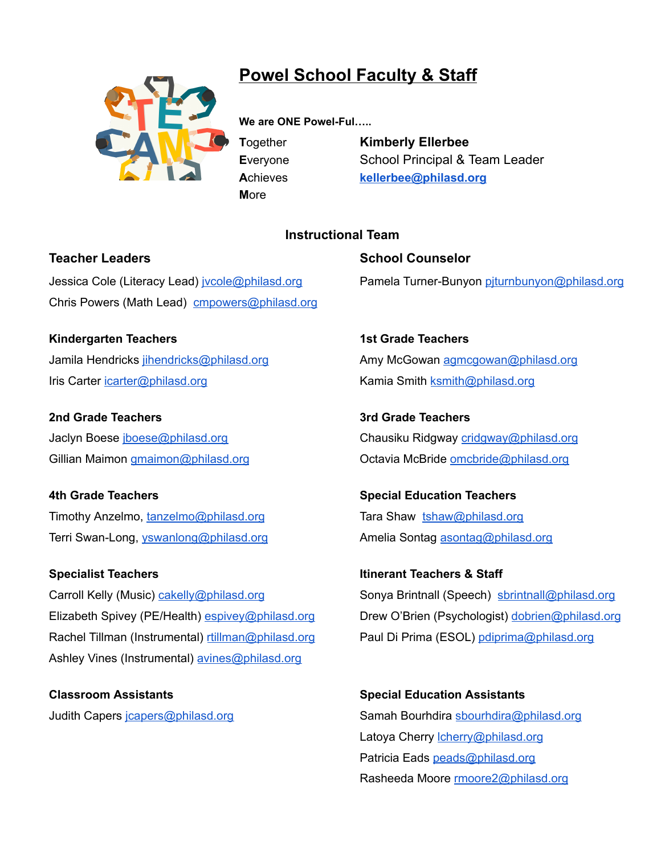

## **Powel School Faculty & Staff**

**We are ONE Powel-Ful…..**

**M**ore

**T**ogether **Kimberly Ellerbee E**veryone School Principal & Team Leader **A**chieves **[kellerbee@philasd.org](mailto:kellerbee@philasd.org)**

## **Instructional Team**

Jessica Cole (Literacy Lead) jycole@philasd.org Pamela Turner-Bunyon [pjturnbunyon@philasd.org](mailto:pjturnbunyon@philasd.org) Chris Powers (Math Lead) [cmpowers@philasd.org](mailto:cmpowers@philasd.org)

**Kindergarten Teachers 1st Grade Teachers** Jamila Hendricks intendricks@philasd.org **Amy McGowan [agmcgowan@philasd.org](mailto:agmcgowan@philasd.org)** Amy McGowan agmcgowan@philasd.org Iris Carter [icarter@philasd.org](mailto:icarter@philasd.org) **Kamia Smith [ksmith@philasd.org](mailto:ksmith@philasd.org)** Kamia Smith ksmith@philasd.org

**2nd Grade Teachers 3rd Grade Teachers**

**4th Grade Teachers Special Education Teachers** Timothy Anzelmo, [tanzelmo@philasd.org](mailto:tanzelmo@philasd.org) Tara Shaw [tshaw@philasd.org](mailto:tshaw@philasd.org)

### **Specialist Teachers Itinerant Teachers & Staff**

Carroll Kelly (Music) [cakelly@philasd.org](mailto:cakelly@philasd.org) Sonya Brintnall (Speech) [sbrintnall@philasd.org](mailto:sbrintnall@philasd.org) Elizabeth Spivey (PE/Health) [espivey@philasd.org](mailto:espivey@philasd.org) Drew O'Brien (Psychologist) [dobrien@philasd.org](mailto:dobrien@philasd.org) Rachel Tillman (Instrumental) [rtillman@philasd.org](mailto:rtillman@philasd.org) Paul Di Prima (ESOL) [pdiprima@philasd.org](mailto:pdiprima@philasd.org) Ashley Vines (Instrumental) [avines@philasd.org](mailto:avines@philasd.org)

**Classroom Assistants Special Education Assistants**

**Teacher Leaders Community Community Community Community Community Community Community Community Community Community** 

Jaclyn Boese *iboese@philasd.org* example and chausiku Ridgway [cridgway@philasd.org](mailto:cridgway@philasd.org) Gillian Maimon [gmaimon@philasd.org](mailto:gmaimon@philasd.org) **Community Contabated McBride** [omcbride@philasd.org](mailto:omcbride@philasd.org)

Terri Swan-Long, [yswanlong@philasd.org](mailto:yswanlong@philasd.org) **Amelia Sontag [asontag@philasd.org](mailto:asontag@philasd.org)** Amelia Sontag asontag@philasd.org

Judith Capers [jcapers@philasd.org](mailto:jcapers@philasd.org) **Samah Bourhdira shourhdira@philasd.org** Samah Bourhdira shourhdira@philasd.org Latoya Cherry *cherry@philasd.org* Patricia Eads [peads@philasd.org](mailto:peads@philasd.org) Rasheeda Moore [rmoore2@philasd.org](mailto:rmoore2@philasd.org)